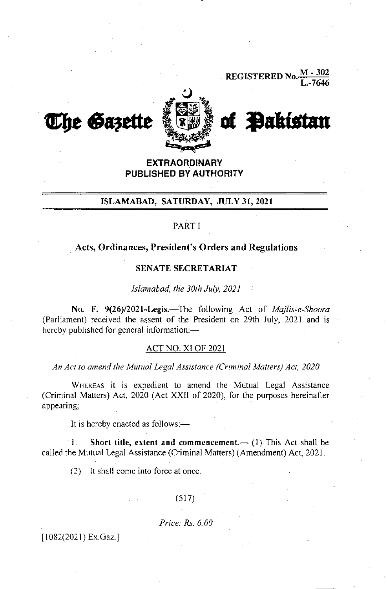REGISTERED No. $\frac{M - 302}{L. -7646}$ 



The Gazette Liws of Pakistan

EXTRAORDINARY PUBLISHED BY AUTHORITY

## ISLAMABAD, SATURDAY, JULY 3I, 2O2I

## PART I

## Acts, Ordinances, President's Orders and Regulations

### SENATE SECRETARIAT

Islamabad, the 30rh July, 2021

No. F. 9(26)/2021-Legis.-The following Act of Majlis-e-Shoora (Parliament) received the assent of the President on 29th July, 2021 and is hereby published for general information:-

### ACT NO. XI OF 2021

An Act to amend the Mutual Legal Assistance (Criminal Matters) Act, 2020

WHEREAS it is expedient to amend the Mutual Legal Assistance (Criminal Matters) Act, 2020 (Act XXII of 2020), for the purposes hereinafter appearing;

It is hereby enacted as follows:-

1. Short title, extent and commencement.—  $(1)$  This Act shall be called the Mutual Legal Assistance (Criminal Matters) (Amendment) Act, 2021.

(2) It shall come into force at once.

### (517)

#### Price. Rs. 6.00

[1082(2021) Ex.Gaz.]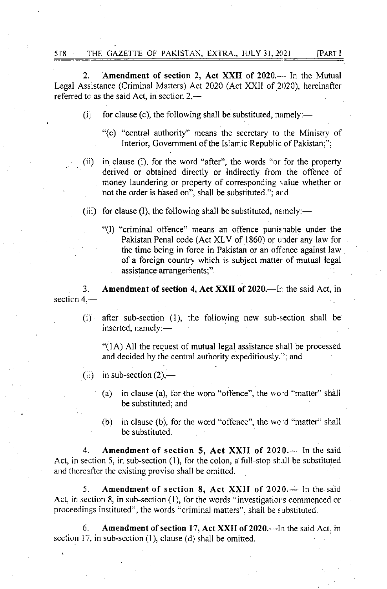2. Amendment of section 2, Act XXII of 2020.-- In the Mutual Legal Assistance (Criminal Matters) Act 2020 (Act XXII of 2020), hereinafter referred to as the said Act, in section  $2,$ —

- (i) for clause (c), the following shall be substituted, namely:—
	- "(c) "central authority" means the secretary ro rhe Ministry of lnterior, Govemment of the Islamic Republic of Pakistan;";
- (ii) in clause (i), for the word "after", the words "or for the property derived or obtained directly or indirectly from the offence of money laundering or property of corresponding value whether or not the order is based on", shall be substituted."; ar.d
- (iii) for clause (I), the following shall be substituted, namely:—
	- "(l) "criminal offence" means an offence punisrable under the Pakistan Penal code (Act XLV of 1860) or urder any law for the time being in force in Pakistan or an offence against law of a foreign country which is subject matter of mutual legal assistance arrangements;".

3. section  $4, -$ Amendment of section 4, Act XXII of 2020.—In the said Act, in

(i) after sub-section (1), the following new sub-section shall be inserted, namely:-

" $(1A)$  All the request of mutual legal assistance shall be processed and decided by the central authority expeditiously. '; and

- (ii) in sub-section  $(2)$ ,—
	- (a) in clause (a), for the word "offence", the word "matter" shall be substituted; and
	- (b) in clause (b), for the word "offence", the wc'd "matter" shall be substituted.

Amendment of section 5, Act XXII of  $2020$ . -- In the said Act, in section 5, in sub-section  $(1)$ , for the colon, a full-stop shall be substituted and thereafter the existing proviso shall be omitted.

5. Amendment of section 8, Act XXII of  $2020$ . In the said Act, in section 8, in sub-section  $(1)$ , for the words "investigations commenced or proceedings instituted", the words "criminal matrers", shall be s ubstituted.

6. Amendment of section 17, Act XXII of 2020.—In the said Act, in section 17, in sub-section (1), clause (d) shall be omitted.